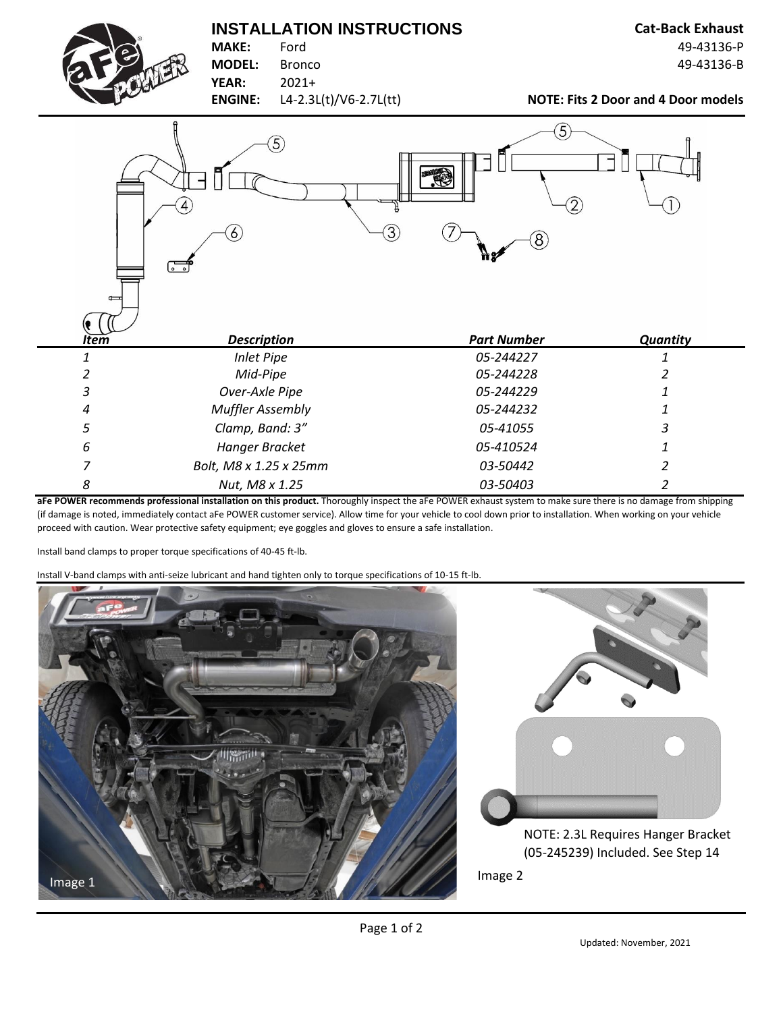## **INSTALLATION INSTRUCTIONS Cat-Back Exhaust**



**MAKE:** Ford 49-43136-P **MODEL:** Bronco 49-43136-B

**YEAR:** 2021+

**ENGINE:** L4-2.3L(t)/V6-2.7L(tt) **NOTE: Fits 2 Door and 4 Door models** 

| $\equiv$    | $\widehat{5}$<br>$\mathcal{L}$<br>$\circ$ $\circ$ | $\overline{5}$<br>\$<br>$\overline{2}$<br>3)<br>(8)<br>₩ø |                          |
|-------------|---------------------------------------------------|-----------------------------------------------------------|--------------------------|
| <b>Item</b> | <b>Description</b>                                | <b>Part Number</b>                                        | <b>Quantity</b>          |
| 1           | <b>Inlet Pipe</b>                                 | 05-244227                                                 |                          |
| 2           | Mid-Pipe                                          | 05-244228                                                 |                          |
| 3           | Over-Axle Pipe                                    | 05-244229                                                 |                          |
| 4           | <b>Muffler Assembly</b>                           | 05-244232                                                 |                          |
| 5           | Clamp, Band: 3"                                   | 05-41055                                                  | 3                        |
| 6           | Hanger Bracket                                    | 05-410524                                                 |                          |
| 7           | Bolt, M8 x 1.25 x 25mm                            | 03-50442                                                  | $\overline{\mathcal{L}}$ |
| 8           | Nut, M8 x 1.25                                    | 03-50403                                                  | 2                        |

**aFe POWER recommends professional installation on this product.** Thoroughly inspect the aFe POWER exhaust system to make sure there is no damage from shipping (if damage is noted, immediately contact aFe POWER customer service). Allow time for your vehicle to cool down prior to installation. When working on your vehicle proceed with caution. Wear protective safety equipment; eye goggles and gloves to ensure a safe installation.

Install band clamps to proper torque specifications of 40-45 ft-lb.

Install V-band clamps with anti-seize lubricant and hand tighten only to torque specifications of 10-15 ft-lb.